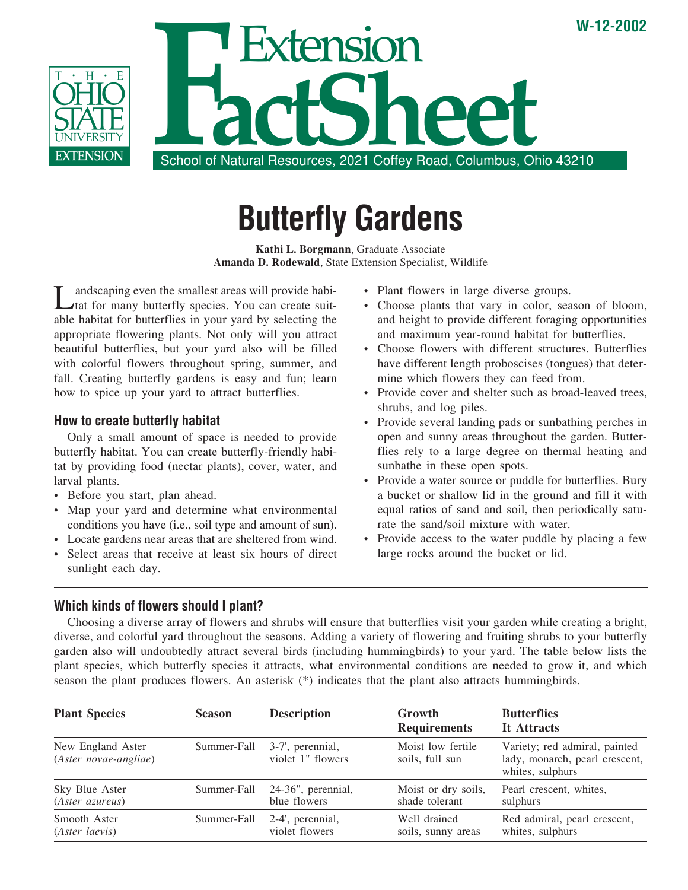

# **Butterfly Gardens**

**Kathi L. Borgmann**, Graduate Associate **Amanda D. Rodewald**, State Extension Specialist, Wildlife

andscaping even the smallest areas will provide habitat for many butterfly species. You can create suitable habitat for butterflies in your yard by selecting the appropriate flowering plants. Not only will you attract beautiful butterflies, but your yard also will be filled with colorful flowers throughout spring, summer, and fall. Creating butterfly gardens is easy and fun; learn how to spice up your yard to attract butterflies.

# **How to create butterfly habitat**

Only a small amount of space is needed to provide butterfly habitat. You can create butterfly-friendly habitat by providing food (nectar plants), cover, water, and larval plants.

- Before you start, plan ahead.
- Map your yard and determine what environmental conditions you have (i.e., soil type and amount of sun).
- Locate gardens near areas that are sheltered from wind.
- Select areas that receive at least six hours of direct sunlight each day.
- Plant flowers in large diverse groups.
- Choose plants that vary in color, season of bloom, and height to provide different foraging opportunities and maximum year-round habitat for butterflies.
- Choose flowers with different structures. Butterflies have different length proboscises (tongues) that determine which flowers they can feed from.
- Provide cover and shelter such as broad-leaved trees, shrubs, and log piles.
- Provide several landing pads or sunbathing perches in open and sunny areas throughout the garden. Butterflies rely to a large degree on thermal heating and sunbathe in these open spots.
- Provide a water source or puddle for butterflies. Bury a bucket or shallow lid in the ground and fill it with equal ratios of sand and soil, then periodically saturate the sand/soil mixture with water.
- Provide access to the water puddle by placing a few large rocks around the bucket or lid.

### **Which kinds of flowers should I plant?**

Choosing a diverse array of flowers and shrubs will ensure that butterflies visit your garden while creating a bright, diverse, and colorful yard throughout the seasons. Adding a variety of flowering and fruiting shrubs to your butterfly garden also will undoubtedly attract several birds (including hummingbirds) to your yard. The table below lists the plant species, which butterfly species it attracts, what environmental conditions are needed to grow it, and which season the plant produces flowers. An asterisk (\*) indicates that the plant also attracts hummingbirds.

| <b>Plant Species</b>                       | <b>Season</b> | <b>Description</b>                    | <b>Growth</b><br><b>Requirements</b> | <b>Butterflies</b><br>It Attracts                                                   |
|--------------------------------------------|---------------|---------------------------------------|--------------------------------------|-------------------------------------------------------------------------------------|
| New England Aster<br>(Aster novae-angliae) | Summer-Fall   | 3-7', perennial,<br>violet 1" flowers | Moist low fertile<br>soils, full sun | Variety; red admiral, painted<br>lady, monarch, pearl crescent,<br>whites, sulphurs |
| Sky Blue Aster                             | Summer-Fall   | 24-36", perennial,                    | Moist or dry soils,                  | Pearl crescent, whites,                                                             |
| (Aster azureus)                            |               | blue flowers                          | shade tolerant                       | sulphurs                                                                            |
| Smooth Aster                               | Summer-Fall   | 2-4', perennial,                      | Well drained                         | Red admiral, pearl crescent,                                                        |
| (Aster laevis)                             |               | violet flowers                        | soils, sunny areas                   | whites, sulphurs                                                                    |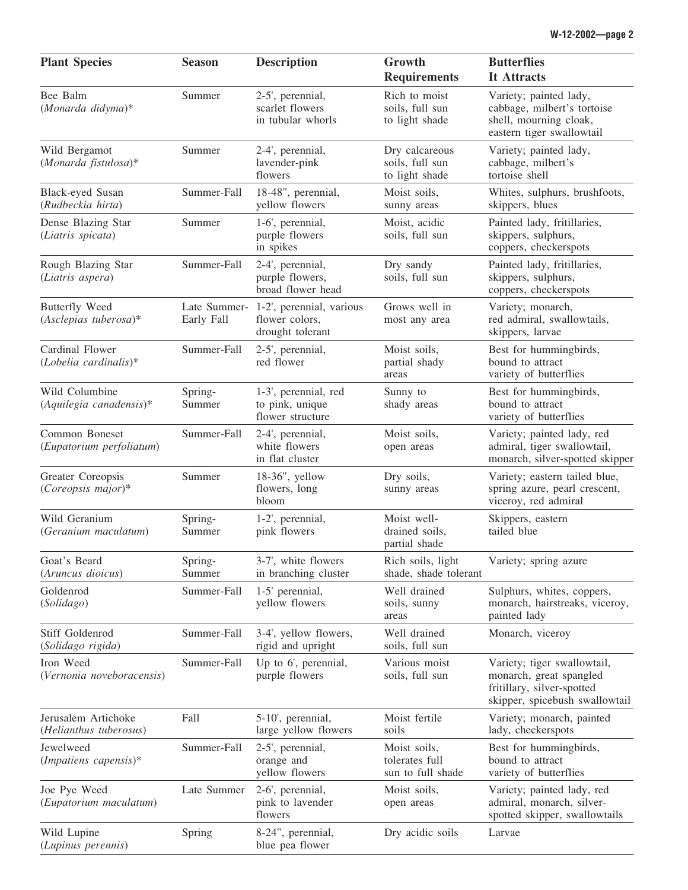| <b>Plant Species</b>                             | <b>Season</b>     | <b>Description</b>                                                          | Growth<br><b>Requirements</b>                       | <b>Butterflies</b><br>It Attracts                                                                                      |
|--------------------------------------------------|-------------------|-----------------------------------------------------------------------------|-----------------------------------------------------|------------------------------------------------------------------------------------------------------------------------|
| Bee Balm<br>(Monarda didyma)*                    | Summer            | 2-5', perennial,<br>scarlet flowers<br>in tubular whorls                    | Rich to moist<br>soils, full sun<br>to light shade  | Variety; painted lady,<br>cabbage, milbert's tortoise<br>shell, mourning cloak,<br>eastern tiger swallowtail           |
| Wild Bergamot<br>(Monarda fistulosa)*            | Summer            | 2-4', perennial,<br>lavender-pink<br>flowers                                | Dry calcareous<br>soils, full sun<br>to light shade | Variety; painted lady,<br>cabbage, milbert's<br>tortoise shell                                                         |
| Black-eyed Susan<br>(Rudbeckia hirta)            | Summer-Fall       | 18-48", perennial,<br>yellow flowers                                        | Moist soils,<br>sunny areas                         | Whites, sulphurs, brushfoots,<br>skippers, blues                                                                       |
| Dense Blazing Star<br>(Liatris spicata)          | Summer            | 1-6', perennial,<br>purple flowers<br>in spikes                             | Moist, acidic<br>soils, full sun                    | Painted lady, fritillaries,<br>skippers, sulphurs,<br>coppers, checkerspots                                            |
| Rough Blazing Star<br>(Liatris aspera)           | Summer-Fall       | 2-4', perennial,<br>purple flowers,<br>broad flower head                    | Dry sandy<br>soils, full sun                        | Painted lady, fritillaries,<br>skippers, sulphurs,<br>coppers, checkerspots                                            |
| <b>Butterfly Weed</b><br>$(Asclepias$ tuberosa)* | Early Fall        | Late Summer- 1-2', perennial, various<br>flower colors,<br>drought tolerant | Grows well in<br>most any area                      | Variety; monarch,<br>red admiral, swallowtails,<br>skippers, larvae                                                    |
| Cardinal Flower<br>$(Lobelia\ cardinalis)*$      | Summer-Fall       | 2-5', perennial,<br>red flower                                              | Moist soils,<br>partial shady<br>areas              | Best for hummingbirds,<br>bound to attract<br>variety of butterflies                                                   |
| Wild Columbine<br>$(Aquilegia\ can adensis)*$    | Spring-<br>Summer | 1-3', perennial, red<br>to pink, unique<br>flower structure                 | Sunny to<br>shady areas                             | Best for hummingbirds,<br>bound to attract<br>variety of butterflies                                                   |
| Common Boneset<br>(Eupatorium perfoliatum)       | Summer-Fall       | 2-4', perennial,<br>white flowers<br>in flat cluster                        | Moist soils,<br>open areas                          | Variety; painted lady, red<br>admiral, tiger swallowtail,<br>monarch, silver-spotted skipper                           |
| Greater Coreopsis<br>$(Coreopsis major)*$        | Summer            | 18-36", yellow<br>flowers, long<br>bloom                                    | Dry soils,<br>sunny areas                           | Variety; eastern tailed blue,<br>spring azure, pearl crescent,<br>viceroy, red admiral                                 |
| Wild Geranium<br>(Geranium maculatum)            | Spring-<br>Summer | 1-2', perennial,<br>pink flowers                                            | Moist well-<br>drained soils,<br>partial shade      | Skippers, eastern<br>tailed blue                                                                                       |
| Goat's Beard<br>(Aruncus dioicus)                | Spring-<br>Summer | 3-7', white flowers<br>in branching cluster                                 | Rich soils, light<br>shade, shade tolerant          | Variety; spring azure                                                                                                  |
| Goldenrod<br>(Solidago)                          | Summer-Fall       | 1-5' perennial,<br>yellow flowers                                           | Well drained<br>soils, sunny<br>areas               | Sulphurs, whites, coppers,<br>monarch, hairstreaks, viceroy,<br>painted lady                                           |
| Stiff Goldenrod<br>(Solidago rigida)             | Summer-Fall       | 3-4', yellow flowers,<br>rigid and upright                                  | Well drained<br>soils, full sun                     | Monarch, viceroy                                                                                                       |
| Iron Weed<br>(Vernonia noveboracensis)           | Summer-Fall       | Up to 6', perennial,<br>purple flowers                                      | Various moist<br>soils, full sun                    | Variety; tiger swallowtail,<br>monarch, great spangled<br>fritillary, silver-spotted<br>skipper, spicebush swallowtail |
| Jerusalem Artichoke<br>(Helianthus tuberosus)    | Fall              | 5-10', perennial,<br>large yellow flowers                                   | Moist fertile<br>soils                              | Variety; monarch, painted<br>lady, checkerspots                                                                        |
| Jewelweed<br>$(Impatiens \textit{ capensis})^*$  | Summer-Fall       | 2-5', perennial,<br>orange and<br>yellow flowers                            | Moist soils,<br>tolerates full<br>sun to full shade | Best for hummingbirds,<br>bound to attract<br>variety of butterflies                                                   |
| Joe Pye Weed<br>(Eupatorium maculatum)           | Late Summer       | 2-6', perennial,<br>pink to lavender<br>flowers                             | Moist soils,<br>open areas                          | Variety; painted lady, red<br>admiral, monarch, silver-<br>spotted skipper, swallowtails                               |
| Wild Lupine<br>(Lupinus perennis)                | Spring            | 8-24", perennial,<br>blue pea flower                                        | Dry acidic soils                                    | Larvae                                                                                                                 |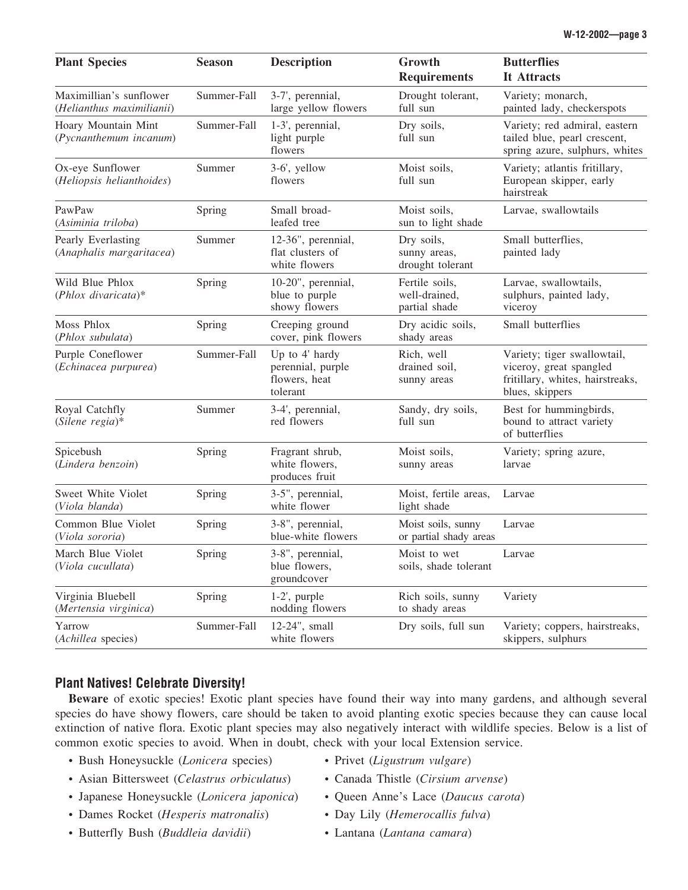| <b>Plant Species</b>                                 | <b>Season</b> | <b>Description</b>                                               | Growth<br><b>Requirements</b>                    | <b>Butterflies</b><br>It Attracts                                                                             |
|------------------------------------------------------|---------------|------------------------------------------------------------------|--------------------------------------------------|---------------------------------------------------------------------------------------------------------------|
| Maximillian's sunflower<br>(Helianthus maximilianii) | Summer-Fall   | 3-7', perennial,<br>large yellow flowers                         | Drought tolerant,<br>full sun                    | Variety; monarch,<br>painted lady, checkerspots                                                               |
| Hoary Mountain Mint<br>(Pycnanthemum incanum)        | Summer-Fall   | 1-3', perennial,<br>light purple<br>flowers                      | Dry soils,<br>full sun                           | Variety; red admiral, eastern<br>tailed blue, pearl crescent,<br>spring azure, sulphurs, whites               |
| Ox-eye Sunflower<br>(Heliopsis helianthoides)        | Summer        | 3-6', yellow<br>flowers                                          | Moist soils,<br>full sun                         | Variety; atlantis fritillary,<br>European skipper, early<br>hairstreak                                        |
| PawPaw<br>(Asiminia triloba)                         | Spring        | Small broad-<br>leafed tree                                      | Moist soils,<br>sun to light shade               | Larvae, swallowtails                                                                                          |
| Pearly Everlasting<br>(Anaphalis margaritacea)       | Summer        | 12-36", perennial,<br>flat clusters of<br>white flowers          | Dry soils,<br>sunny areas,<br>drought tolerant   | Small butterflies,<br>painted lady                                                                            |
| Wild Blue Phlox<br>$(Phlox\ divaricata)*$            | Spring        | 10-20", perennial,<br>blue to purple<br>showy flowers            | Fertile soils,<br>well-drained,<br>partial shade | Larvae, swallowtails,<br>sulphurs, painted lady,<br>viceroy                                                   |
| <b>Moss Phlox</b><br>(Phlox subulata)                | Spring        | Creeping ground<br>cover, pink flowers                           | Dry acidic soils,<br>shady areas                 | Small butterflies                                                                                             |
| Purple Coneflower<br>(Echinacea purpurea)            | Summer-Fall   | Up to 4' hardy<br>perennial, purple<br>flowers, heat<br>tolerant | Rich, well<br>drained soil,<br>sunny areas       | Variety; tiger swallowtail,<br>viceroy, great spangled<br>fritillary, whites, hairstreaks,<br>blues, skippers |
| Royal Catchfly<br>$(Silene \; regia)*$               | Summer        | 3-4', perennial,<br>red flowers                                  | Sandy, dry soils,<br>full sun                    | Best for hummingbirds,<br>bound to attract variety<br>of butterflies                                          |
| Spicebush<br>(Lindera benzoin)                       | Spring        | Fragrant shrub,<br>white flowers,<br>produces fruit              | Moist soils,<br>sunny areas                      | Variety; spring azure,<br>larvae                                                                              |
| Sweet White Violet<br>(Viola blanda)                 | Spring        | 3-5", perennial,<br>white flower                                 | Moist, fertile areas,<br>light shade             | Larvae                                                                                                        |
| Common Blue Violet<br>(Viola sororia)                | Spring        | 3-8", perennial,<br>blue-white flowers                           | Moist soils, sunny<br>or partial shady areas     | Larvae                                                                                                        |
| March Blue Violet<br>(Viola cucullata)               | Spring        | 3-8", perennial,<br>blue flowers,<br>groundcover                 | Moist to wet<br>soils, shade tolerant            | Larvae                                                                                                        |
| Virginia Bluebell<br>(Mertensia virginica)           | Spring        | $1-2$ ', purple<br>nodding flowers                               | Rich soils, sunny<br>to shady areas              | Variety                                                                                                       |
| Yarrow<br>(Achillea species)                         | Summer-Fall   | 12-24", small<br>white flowers                                   | Dry soils, full sun                              | Variety; coppers, hairstreaks,<br>skippers, sulphurs                                                          |

## **Plant Natives! Celebrate Diversity!**

**Beware** of exotic species! Exotic plant species have found their way into many gardens, and although several species do have showy flowers, care should be taken to avoid planting exotic species because they can cause local extinction of native flora. Exotic plant species may also negatively interact with wildlife species. Below is a list of common exotic species to avoid. When in doubt, check with your local Extension service.

- Bush Honeysuckle (*Lonicera* species) Privet (*Ligustrum vulgare*)
- Asian Bittersweet (*Celastrus orbiculatus*) Canada Thistle (*Cirsium arvense*)
- Japanese Honeysuckle (*Lonicera japonica*) Queen Anne's Lace (*Daucus carota*)
- Dames Rocket (*Hesperis matronalis*) Day Lily (*Hemerocallis fulva*)
- Butterfly Bush (*Buddleia davidii*) Lantana (*Lantana camara*)
- 
- 
- 
- -